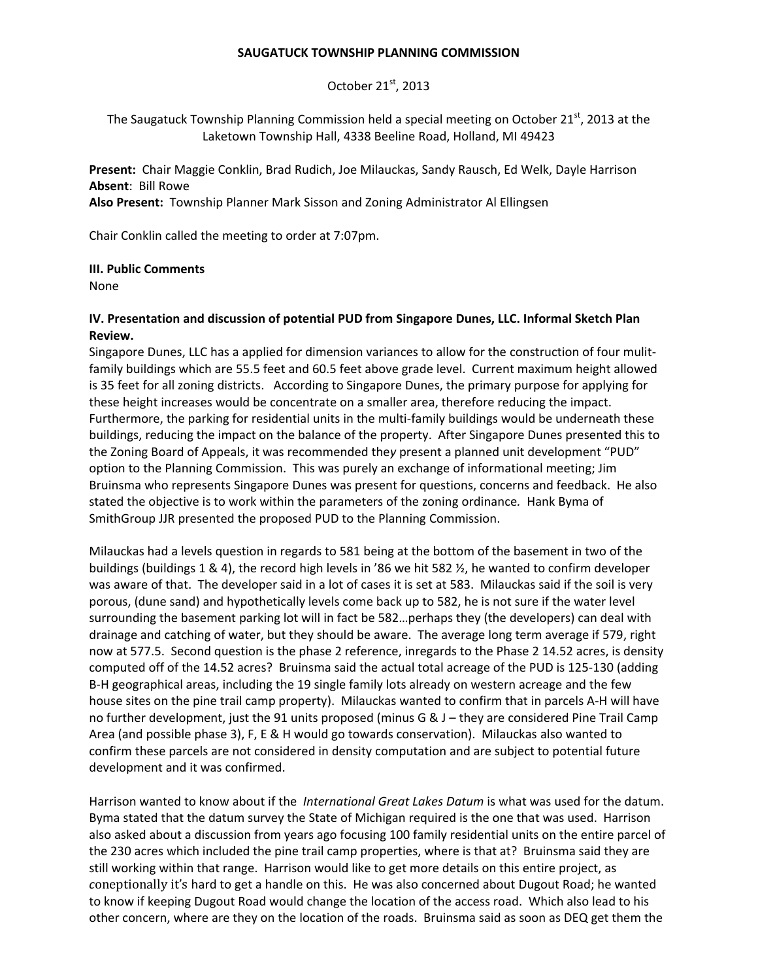#### **SAUGATUCK TOWNSHIP PLANNING COMMISSION**

October 21<sup>st</sup>, 2013

The Saugatuck Township Planning Commission held a special meeting on October  $21^{st}$ , 2013 at the Laketown Township Hall, 4338 Beeline Road, Holland, MI 49423

**Present:** Chair Maggie Conklin, Brad Rudich, Joe Milauckas, Sandy Rausch, Ed Welk, Dayle Harrison **Absent**: Bill Rowe

**Also Present:** Township Planner Mark Sisson and Zoning Administrator Al Ellingsen

Chair Conklin called the meeting to order at 7:07pm.

#### **III. Public Comments**

None

## **IV. Presentation and discussion of potential PUD from Singapore Dunes, LLC. Informal Sketch Plan Review.**

Singapore Dunes, LLC has a applied for dimension variances to allow for the construction of four mulitfamily buildings which are 55.5 feet and 60.5 feet above grade level. Current maximum height allowed is 35 feet for all zoning districts. According to Singapore Dunes, the primary purpose for applying for these height increases would be concentrate on a smaller area, therefore reducing the impact. Furthermore, the parking for residential units in the multi-family buildings would be underneath these buildings, reducing the impact on the balance of the property. After Singapore Dunes presented this to the Zoning Board of Appeals, it was recommended the*y* present a planned unit development "PUD" option to the Planning Commission. This was purely an exchange of informational meeting; Jim Bruinsma who represents Singapore Dunes was present for questions, concerns and feedback. He also stated the objective is to work within the parameters of the zoning ordinance*.* Hank Byma of SmithGroup JJR presented the proposed PUD to the Planning Commission.

Milauckas had a levels question in regards to 581 being at the bottom of the basement in two of the buildings (buildings 1 & 4), the record high levels in '86 we hit 582 ½, he wanted to confirm developer was aware of that. The developer said in a lot of cases it is set at 583. Milauckas said if the soil is very porous, (dune sand) and hypothetically levels come back up to 582, he is not sure if the water level surrounding the basement parking lot will in fact be 582...perhaps they (the developers) can deal with drainage and catching of water, but they should be aware. The average long term average if 579, right now at 577.5. Second question is the phase 2 reference, inregards to the Phase 2 14.52 acres, is density computed off of the 14.52 acres? Bruinsma said the actual total acreage of the PUD is 125-130 (adding B-H geographical areas, including the 19 single family lots already on western acreage and the few house sites on the pine trail camp property). Milauckas wanted to confirm that in parcels A-H will have no further development, just the 91 units proposed (minus G & J – they are considered Pine Trail Camp Area (and possible phase 3), F, E & H would go towards conservation). Milauckas also wanted to confirm these parcels are not considered in density computation and are subject to potential future development and it was confirmed.

Harrison wanted to know about if the *International Great Lakes Datum* is what was used for the datum. Byma stated that the datum survey the State of Michigan required is the one that was used. Harrison also asked about a discussion from years ago focusing 100 family residential units on the entire parcel of the 230 acres which included the pine trail camp properties, where is that at? Bruinsma said they are still working within that range. Harrison would like to get more details on this entire project, as *c*oneptionally it's hard to get a handle on this. He was also concerned about Dugout Road; he wanted to know if keeping Dugout Road would change the location of the access road. Which also lead to his other concern, where are they on the location of the roads. Bruinsma said as soon as DEQ get them the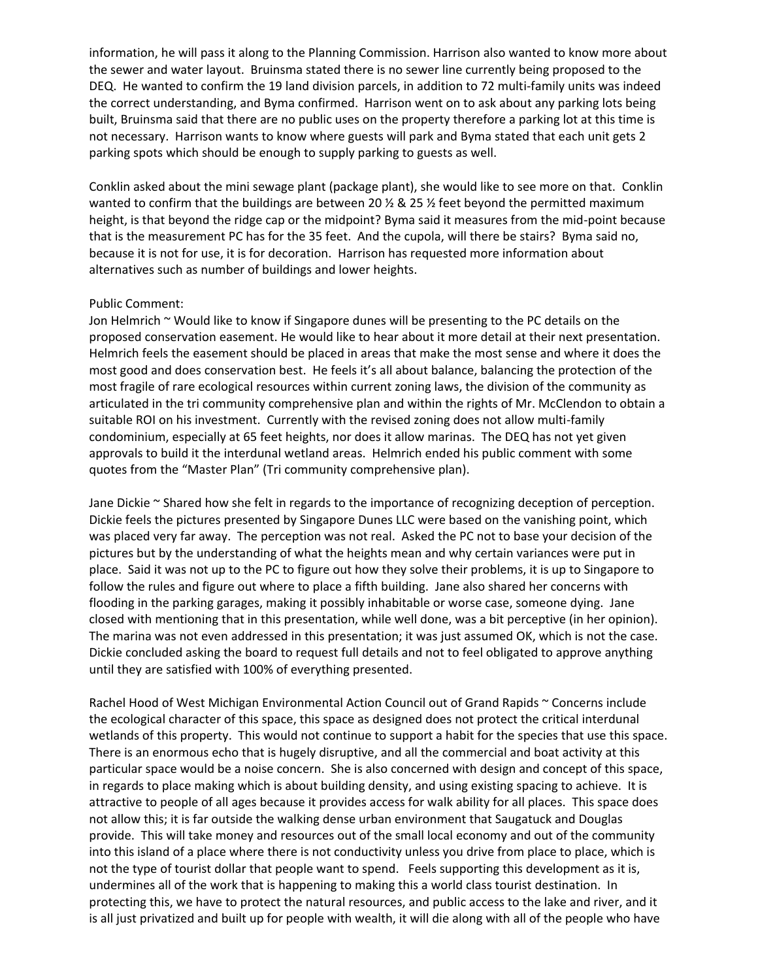information, he will pass it along to the Planning Commission. Harrison also wanted to know more about the sewer and water layout. Bruinsma stated there is no sewer line currently being proposed to the DEQ. He wanted to confirm the 19 land division parcels, in addition to 72 multi-family units was indeed the correct understanding, and Byma confirmed. Harrison went on to ask about any parking lots being built, Bruinsma said that there are no public uses on the property therefore a parking lot at this time is not necessary. Harrison wants to know where guests will park and Byma stated that each unit gets 2 parking spots which should be enough to supply parking to guests as well.

Conklin asked about the mini sewage plant (package plant), she would like to see more on that. Conklin wanted to confirm that the buildings are between 20  $\frac{1}{2}$  & 25  $\frac{1}{2}$  feet beyond the permitted maximum height, is that beyond the ridge cap or the midpoint? Byma said it measures from the mid-point because that is the measurement PC has for the 35 feet. And the cupola, will there be stairs? Byma said no, because it is not for use, it is for decoration. Harrison has requested more information about alternatives such as number of buildings and lower heights.

## Public Comment:

Jon Helmrich ~ Would like to know if Singapore dunes will be presenting to the PC details on the proposed conservation easement. He would like to hear about it more detail at their next presentation. Helmrich feels the easement should be placed in areas that make the most sense and where it does the most good and does conservation best. He feels it's all about balance, balancing the protection of the most fragile of rare ecological resources within current zoning laws, the division of the community as articulated in the tri community comprehensive plan and within the rights of Mr. McClendon to obtain a suitable ROI on his investment. Currently with the revised zoning does not allow multi-family condominium, especially at 65 feet heights, nor does it allow marinas. The DEQ has not yet given approvals to build it the interdunal wetland areas. Helmrich ended his public comment with some quotes from the "Master Plan" (Tri community comprehensive plan).

Jane Dickie ~ Shared how she felt in regards to the importance of recognizing deception of perception. Dickie feels the pictures presented by Singapore Dunes LLC were based on the vanishing point, which was placed very far away. The perception was not real. Asked the PC not to base your decision of the pictures but by the understanding of what the heights mean and why certain variances were put in place. Said it was not up to the PC to figure out how they solve their problems, it is up to Singapore to follow the rules and figure out where to place a fifth building. Jane also shared her concerns with flooding in the parking garages, making it possibly inhabitable or worse case, someone dying. Jane closed with mentioning that in this presentation, while well done, was a bit perceptive (in her opinion). The marina was not even addressed in this presentation; it was just assumed OK, which is not the case. Dickie concluded asking the board to request full details and not to feel obligated to approve anything until they are satisfied with 100% of everything presented.

Rachel Hood of West Michigan Environmental Action Council out of Grand Rapids ~ Concerns include the ecological character of this space, this space as designed does not protect the critical interdunal wetlands of this property. This would not continue to support a habit for the species that use this space. There is an enormous echo that is hugely disruptive, and all the commercial and boat activity at this particular space would be a noise concern. She is also concerned with design and concept of this space, in regards to place making which is about building density, and using existing spacing to achieve. It is attractive to people of all ages because it provides access for walk ability for all places. This space does not allow this; it is far outside the walking dense urban environment that Saugatuck and Douglas provide. This will take money and resources out of the small local economy and out of the community into this island of a place where there is not conductivity unless you drive from place to place, which is not the type of tourist dollar that people want to spend. Feels supporting this development as it is, undermines all of the work that is happening to making this a world class tourist destination. In protecting this, we have to protect the natural resources, and public access to the lake and river, and it is all just privatized and built up for people with wealth, it will die along with all of the people who have